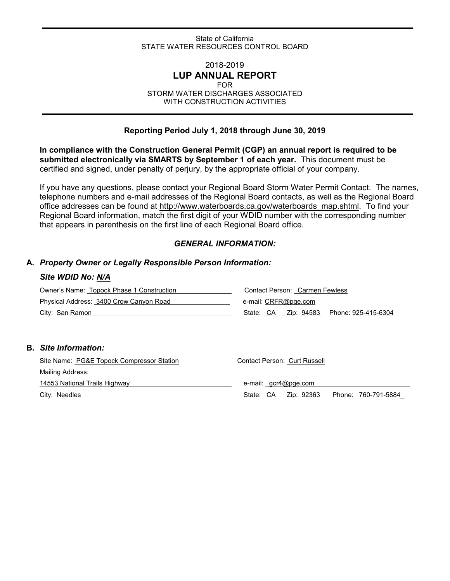#### State of California STATE WATER RESOURCES CONTROL BOARD

## 2018-2019 **LUP ANNUAL REPORT**

#### FOR

STORM WATER DISCHARGES ASSOCIATED WITH CONSTRUCTION ACTIVITIES

### **Reporting Period July 1, 2018 through June 30, 2019**

**In compliance with the Construction General Permit (CGP) an annual report is required to be submitted electronically via SMARTS by September 1 of each year.** This document must be certified and signed, under penalty of perjury, by the appropriate official of your company.

If you have any questions, please contact your Regional Board Storm Water Permit Contact. The names, telephone numbers and e-mail addresses of the Regional Board contacts, as well as the Regional Board office addresses can be found at [http://www.waterboards.ca.gov/waterboards\\_map.shtml.](http://www.waterboards.ca.gov/waterboards_map.shtml) To find your Regional Board information, match the first digit of your WDID number with the corresponding number that appears in parenthesis on the first line of each Regional Board office.

#### *GENERAL INFORMATION:*

#### **A.** *Property Owner or Legally Responsible Person Information:*

#### *Site WDID No: N/A*

| Owner's Name: Topock Phase 1 Construction | Contact Person: Carmen Fewless |  |  |  |  |
|-------------------------------------------|--------------------------------|--|--|--|--|
| Physical Address: 3400 Crow Canyon Road   | e-mail: CRFR@pge.com           |  |  |  |  |
| City: San Ramon                           |                                |  |  |  |  |

#### **B.** *Site Information:*

| Site Name: PG&E Topock Compressor Station | Contact Person: Curt Russell                   |  |  |  |  |  |
|-------------------------------------------|------------------------------------------------|--|--|--|--|--|
| Mailing Address:                          |                                                |  |  |  |  |  |
| 14553 National Trails Highway             | e-mail: gcr4@pge.com                           |  |  |  |  |  |
| City: Needles                             | Zip: 92363<br>Phone: 760-791-5884<br>State: CA |  |  |  |  |  |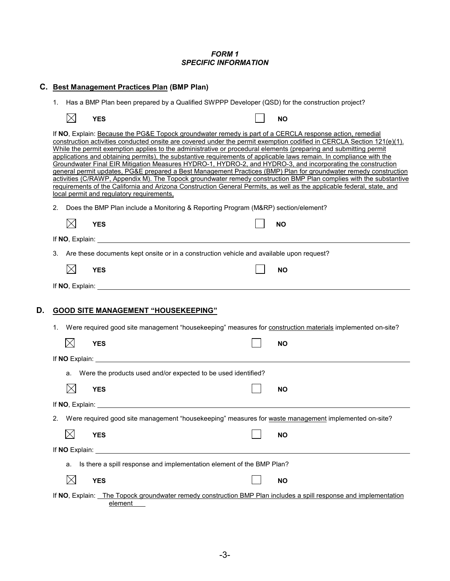#### *FORM 1 SPECIFIC INFORMATION*

|    | C. Best Management Practices Plan (BMP Plan)                                                          |                 |            |                                                                                                                                                                                                                                |  |  |  |                                                                       |  |  |                                                                                                                                                                                                                                                                                                                                                                                                                                                                                                                                                                                                                                                                                                                                                                                                                                                                                                                                                                 |
|----|-------------------------------------------------------------------------------------------------------|-----------------|------------|--------------------------------------------------------------------------------------------------------------------------------------------------------------------------------------------------------------------------------|--|--|--|-----------------------------------------------------------------------|--|--|-----------------------------------------------------------------------------------------------------------------------------------------------------------------------------------------------------------------------------------------------------------------------------------------------------------------------------------------------------------------------------------------------------------------------------------------------------------------------------------------------------------------------------------------------------------------------------------------------------------------------------------------------------------------------------------------------------------------------------------------------------------------------------------------------------------------------------------------------------------------------------------------------------------------------------------------------------------------|
|    | Has a BMP Plan been prepared by a Qualified SWPPP Developer (QSD) for the construction project?<br>1. |                 |            |                                                                                                                                                                                                                                |  |  |  |                                                                       |  |  |                                                                                                                                                                                                                                                                                                                                                                                                                                                                                                                                                                                                                                                                                                                                                                                                                                                                                                                                                                 |
|    |                                                                                                       | $\times$        | <b>YES</b> |                                                                                                                                                                                                                                |  |  |  |                                                                       |  |  | <b>NO</b>                                                                                                                                                                                                                                                                                                                                                                                                                                                                                                                                                                                                                                                                                                                                                                                                                                                                                                                                                       |
|    |                                                                                                       |                 |            | local permit and regulatory requirements,                                                                                                                                                                                      |  |  |  |                                                                       |  |  | If NO, Explain: Because the PG&E Topock groundwater remedy is part of a CERCLA response action, remedial<br>construction activities conducted onsite are covered under the permit exemption codified in CERCLA Section 121(e)(1).<br>While the permit exemption applies to the administrative or procedural elements (preparing and submitting permit<br>applications and obtaining permits), the substantive requirements of applicable laws remain. In compliance with the<br>Groundwater Final EIR Mitigation Measures HYDRO-1, HYDRO-2, and HYDRO-3, and incorporating the construction<br>general permit updates, PG&E prepared a Best Management Practices (BMP) Plan for groundwater remedy construction<br>activities (C/RAWP, Appendix M). The Topock groundwater remedy construction BMP Plan complies with the substantive<br>requirements of the California and Arizona Construction General Permits, as well as the applicable federal, state, and |
|    | 2.                                                                                                    |                 |            |                                                                                                                                                                                                                                |  |  |  |                                                                       |  |  | Does the BMP Plan include a Monitoring & Reporting Program (M&RP) section/element?                                                                                                                                                                                                                                                                                                                                                                                                                                                                                                                                                                                                                                                                                                                                                                                                                                                                              |
|    |                                                                                                       | $\boxtimes$     | <b>YES</b> |                                                                                                                                                                                                                                |  |  |  |                                                                       |  |  | <b>NO</b>                                                                                                                                                                                                                                                                                                                                                                                                                                                                                                                                                                                                                                                                                                                                                                                                                                                                                                                                                       |
|    |                                                                                                       |                 |            |                                                                                                                                                                                                                                |  |  |  |                                                                       |  |  |                                                                                                                                                                                                                                                                                                                                                                                                                                                                                                                                                                                                                                                                                                                                                                                                                                                                                                                                                                 |
|    | Are these documents kept onsite or in a construction vehicle and available upon request?<br>3.        |                 |            |                                                                                                                                                                                                                                |  |  |  |                                                                       |  |  |                                                                                                                                                                                                                                                                                                                                                                                                                                                                                                                                                                                                                                                                                                                                                                                                                                                                                                                                                                 |
|    |                                                                                                       | $\boxtimes$     | <b>YES</b> |                                                                                                                                                                                                                                |  |  |  |                                                                       |  |  | <b>NO</b>                                                                                                                                                                                                                                                                                                                                                                                                                                                                                                                                                                                                                                                                                                                                                                                                                                                                                                                                                       |
|    |                                                                                                       |                 |            |                                                                                                                                                                                                                                |  |  |  |                                                                       |  |  |                                                                                                                                                                                                                                                                                                                                                                                                                                                                                                                                                                                                                                                                                                                                                                                                                                                                                                                                                                 |
| D. |                                                                                                       |                 |            | <b>GOOD SITE MANAGEMENT "HOUSEKEEPING"</b>                                                                                                                                                                                     |  |  |  |                                                                       |  |  |                                                                                                                                                                                                                                                                                                                                                                                                                                                                                                                                                                                                                                                                                                                                                                                                                                                                                                                                                                 |
|    |                                                                                                       |                 |            |                                                                                                                                                                                                                                |  |  |  |                                                                       |  |  |                                                                                                                                                                                                                                                                                                                                                                                                                                                                                                                                                                                                                                                                                                                                                                                                                                                                                                                                                                 |
|    | 1.                                                                                                    |                 |            |                                                                                                                                                                                                                                |  |  |  |                                                                       |  |  | Were required good site management "housekeeping" measures for construction materials implemented on-site?                                                                                                                                                                                                                                                                                                                                                                                                                                                                                                                                                                                                                                                                                                                                                                                                                                                      |
|    |                                                                                                       | $\boxtimes$     | <b>YES</b> |                                                                                                                                                                                                                                |  |  |  |                                                                       |  |  | <b>NO</b>                                                                                                                                                                                                                                                                                                                                                                                                                                                                                                                                                                                                                                                                                                                                                                                                                                                                                                                                                       |
|    |                                                                                                       |                 |            |                                                                                                                                                                                                                                |  |  |  |                                                                       |  |  |                                                                                                                                                                                                                                                                                                                                                                                                                                                                                                                                                                                                                                                                                                                                                                                                                                                                                                                                                                 |
|    |                                                                                                       | a.              |            |                                                                                                                                                                                                                                |  |  |  | Were the products used and/or expected to be used identified?         |  |  |                                                                                                                                                                                                                                                                                                                                                                                                                                                                                                                                                                                                                                                                                                                                                                                                                                                                                                                                                                 |
|    |                                                                                                       |                 | <b>YES</b> |                                                                                                                                                                                                                                |  |  |  |                                                                       |  |  | <b>NO</b>                                                                                                                                                                                                                                                                                                                                                                                                                                                                                                                                                                                                                                                                                                                                                                                                                                                                                                                                                       |
|    |                                                                                                       | If NO, Explain: |            |                                                                                                                                                                                                                                |  |  |  |                                                                       |  |  |                                                                                                                                                                                                                                                                                                                                                                                                                                                                                                                                                                                                                                                                                                                                                                                                                                                                                                                                                                 |
|    | 2.                                                                                                    |                 |            |                                                                                                                                                                                                                                |  |  |  |                                                                       |  |  | Were required good site management "housekeeping" measures for waste management implemented on-site?                                                                                                                                                                                                                                                                                                                                                                                                                                                                                                                                                                                                                                                                                                                                                                                                                                                            |
|    |                                                                                                       | $\boxtimes$     | <b>YES</b> |                                                                                                                                                                                                                                |  |  |  |                                                                       |  |  | <b>NO</b>                                                                                                                                                                                                                                                                                                                                                                                                                                                                                                                                                                                                                                                                                                                                                                                                                                                                                                                                                       |
|    |                                                                                                       |                 |            | If NO Explain: The Contract of the Contract of the Contract of the Contract of the Contract of the Contract of the Contract of the Contract of the Contract of the Contract of the Contract of the Contract of the Contract of |  |  |  |                                                                       |  |  |                                                                                                                                                                                                                                                                                                                                                                                                                                                                                                                                                                                                                                                                                                                                                                                                                                                                                                                                                                 |
|    |                                                                                                       | a.              |            |                                                                                                                                                                                                                                |  |  |  | Is there a spill response and implementation element of the BMP Plan? |  |  |                                                                                                                                                                                                                                                                                                                                                                                                                                                                                                                                                                                                                                                                                                                                                                                                                                                                                                                                                                 |
|    |                                                                                                       | $\boxtimes$     | <b>YES</b> |                                                                                                                                                                                                                                |  |  |  |                                                                       |  |  | <b>NO</b>                                                                                                                                                                                                                                                                                                                                                                                                                                                                                                                                                                                                                                                                                                                                                                                                                                                                                                                                                       |
|    |                                                                                                       |                 |            | element                                                                                                                                                                                                                        |  |  |  |                                                                       |  |  | If NO, Explain: The Topock groundwater remedy construction BMP Plan includes a spill response and implementation                                                                                                                                                                                                                                                                                                                                                                                                                                                                                                                                                                                                                                                                                                                                                                                                                                                |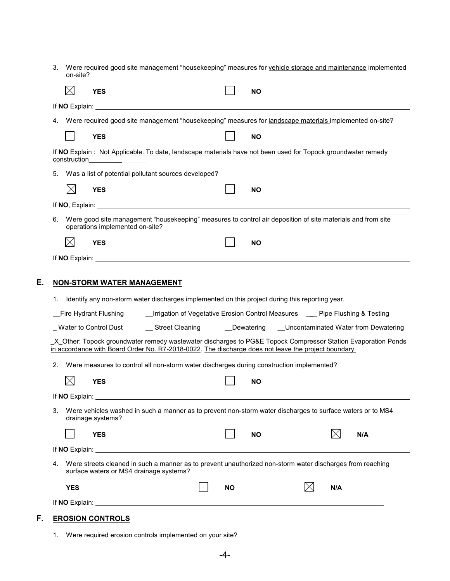| 3. Were required good site management "housekeeping" measures for vehicle storage and maintenance implemented |
|---------------------------------------------------------------------------------------------------------------|
| on-site?                                                                                                      |

|    |    |              | YES                                 |                                                                                                                                                                                                                                                                                                                                            |                                                                               |           | ΝO        |          |                                                                                                                                                                                                                                 |  |
|----|----|--------------|-------------------------------------|--------------------------------------------------------------------------------------------------------------------------------------------------------------------------------------------------------------------------------------------------------------------------------------------------------------------------------------------|-------------------------------------------------------------------------------|-----------|-----------|----------|---------------------------------------------------------------------------------------------------------------------------------------------------------------------------------------------------------------------------------|--|
|    |    |              |                                     | <b>If NO Explain:</b> The state of the state of the state of the state of the state of the state of the state of the state of the state of the state of the state of the state of the state of the state of the state of the state                                                                                                         |                                                                               |           |           |          |                                                                                                                                                                                                                                 |  |
|    | 4. |              |                                     | Were required good site management "housekeeping" measures for landscape materials implemented on-site?                                                                                                                                                                                                                                    |                                                                               |           |           |          |                                                                                                                                                                                                                                 |  |
|    |    |              | <b>YES</b>                          |                                                                                                                                                                                                                                                                                                                                            |                                                                               |           | <b>NO</b> |          |                                                                                                                                                                                                                                 |  |
|    |    | construction |                                     | If NO Explain: Not Applicable. To date, landscape materials have not been used for Topock groundwater remedy                                                                                                                                                                                                                               |                                                                               |           |           |          |                                                                                                                                                                                                                                 |  |
|    | 5. |              |                                     | Was a list of potential pollutant sources developed?                                                                                                                                                                                                                                                                                       |                                                                               |           |           |          |                                                                                                                                                                                                                                 |  |
|    |    | $\times$     | <b>YES</b>                          |                                                                                                                                                                                                                                                                                                                                            |                                                                               |           | <b>NO</b> |          |                                                                                                                                                                                                                                 |  |
|    |    |              |                                     |                                                                                                                                                                                                                                                                                                                                            |                                                                               |           |           |          |                                                                                                                                                                                                                                 |  |
|    | 6. |              |                                     | Were good site management "housekeeping" measures to control air deposition of site materials and from site<br>operations implemented on-site?                                                                                                                                                                                             |                                                                               |           |           |          |                                                                                                                                                                                                                                 |  |
|    |    | $\boxtimes$  | <b>YES</b>                          |                                                                                                                                                                                                                                                                                                                                            |                                                                               |           | <b>NO</b> |          |                                                                                                                                                                                                                                 |  |
|    |    |              |                                     |                                                                                                                                                                                                                                                                                                                                            |                                                                               |           |           |          |                                                                                                                                                                                                                                 |  |
| Е. | 2. |              | Fire Hydrant Flushing<br><b>YES</b> | <b>NON-STORM WATER MANAGEMENT</b><br>1. Identify any non-storm water discharges implemented on this project during this reporting year.<br>in accordance with Board Order No. R7-2018-0022. The discharge does not leave the project boundary.<br>Were measures to control all non-storm water discharges during construction implemented? | _Irrigation of Vegetative Erosion Control Measures __ Pipe Flushing & Testing |           | <b>NO</b> |          | _Water to Control Dust ________Street Cleaning _____________Dewatering ____Uncontaminated Water from Dewatering<br>X Other: Topock groundwater remedy wastewater discharges to PG&E Topock Compressor Station Evaporation Ponds |  |
|    |    |              |                                     |                                                                                                                                                                                                                                                                                                                                            |                                                                               |           |           |          |                                                                                                                                                                                                                                 |  |
|    |    |              | drainage systems?                   | 3. Were vehicles washed in such a manner as to prevent non-storm water discharges to surface waters or to MS4                                                                                                                                                                                                                              |                                                                               |           |           |          |                                                                                                                                                                                                                                 |  |
|    |    |              | <b>YES</b>                          |                                                                                                                                                                                                                                                                                                                                            |                                                                               |           | ΝO        | $\times$ | N/A                                                                                                                                                                                                                             |  |
|    |    |              |                                     |                                                                                                                                                                                                                                                                                                                                            |                                                                               |           |           |          |                                                                                                                                                                                                                                 |  |
|    | 4. |              |                                     | Were streets cleaned in such a manner as to prevent unauthorized non-storm water discharges from reaching<br>surface waters or MS4 drainage systems?                                                                                                                                                                                       |                                                                               |           |           |          |                                                                                                                                                                                                                                 |  |
|    |    | <b>YES</b>   |                                     |                                                                                                                                                                                                                                                                                                                                            |                                                                               | <b>NO</b> |           | N/A      |                                                                                                                                                                                                                                 |  |
|    |    |              |                                     | If NO Explain: <u>the contract of the contract of the contract of the contract of the contract of the contract of the contract of the contract of the contract of the contract of the contract of the contract of the contract o</u>                                                                                                       |                                                                               |           |           |          |                                                                                                                                                                                                                                 |  |

## **F. EROSION CONTROLS**

1. Were required erosion controls implemented on your site?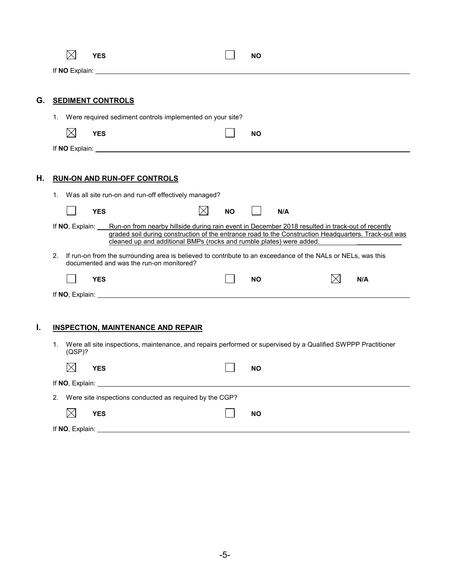|    |    |             | <b>YES</b> |                                                                                                                                                                                                                                                                                                  |  |           | <b>NO</b> |     |  |     |  |
|----|----|-------------|------------|--------------------------------------------------------------------------------------------------------------------------------------------------------------------------------------------------------------------------------------------------------------------------------------------------|--|-----------|-----------|-----|--|-----|--|
|    |    |             |            | If NO Explain: <u>No Explaine and the set of the set of the set of the set of the set of the set of the set of the set of the set of the set of the set of the set of the set of the set of the set of the set of the set of the</u>                                                             |  |           |           |     |  |     |  |
| G. |    |             |            | <b>SEDIMENT CONTROLS</b>                                                                                                                                                                                                                                                                         |  |           |           |     |  |     |  |
|    | 1. |             |            | Were required sediment controls implemented on your site?                                                                                                                                                                                                                                        |  |           |           |     |  |     |  |
|    |    | $\boxtimes$ | <b>YES</b> |                                                                                                                                                                                                                                                                                                  |  |           | <b>NO</b> |     |  |     |  |
|    |    |             |            |                                                                                                                                                                                                                                                                                                  |  |           |           |     |  |     |  |
|    |    |             |            |                                                                                                                                                                                                                                                                                                  |  |           |           |     |  |     |  |
| Η. |    |             |            | <b>RUN-ON AND RUN-OFF CONTROLS</b>                                                                                                                                                                                                                                                               |  |           |           |     |  |     |  |
|    | 1. |             |            | Was all site run-on and run-off effectively managed?                                                                                                                                                                                                                                             |  |           |           |     |  |     |  |
|    |    |             | <b>YES</b> |                                                                                                                                                                                                                                                                                                  |  | <b>NO</b> |           | N/A |  |     |  |
|    |    |             |            | If NO, Explain: Run-on from nearby hillside during rain event in December 2018 resulted in track-out of recently<br>graded soil during construction of the entrance road to the Construction Headquarters. Track-out was<br>cleaned up and additional BMPs (rocks and rumble plates) were added. |  |           |           |     |  |     |  |
|    | 2. |             |            | If run-on from the surrounding area is believed to contribute to an exceedance of the NALs or NELs, was this<br>documented and was the run-on monitored?                                                                                                                                         |  |           |           |     |  |     |  |
|    |    |             | <b>YES</b> |                                                                                                                                                                                                                                                                                                  |  |           | <b>NO</b> |     |  | N/A |  |
|    |    |             |            |                                                                                                                                                                                                                                                                                                  |  |           |           |     |  |     |  |
|    |    |             |            |                                                                                                                                                                                                                                                                                                  |  |           |           |     |  |     |  |
| I. |    |             |            | <b>INSPECTION, MAINTENANCE AND REPAIR</b>                                                                                                                                                                                                                                                        |  |           |           |     |  |     |  |
|    | 1. | (QSP)?      |            | Were all site inspections, maintenance, and repairs performed or supervised by a Qualified SWPPP Practitioner                                                                                                                                                                                    |  |           |           |     |  |     |  |
|    |    |             | <b>YES</b> |                                                                                                                                                                                                                                                                                                  |  |           | <b>NO</b> |     |  |     |  |
|    |    |             |            | If NO, Explain: Management of NO, Explain:                                                                                                                                                                                                                                                       |  |           |           |     |  |     |  |
|    |    |             |            | 2. Were site inspections conducted as required by the CGP?                                                                                                                                                                                                                                       |  |           |           |     |  |     |  |
|    |    | $\times$    | <b>YES</b> |                                                                                                                                                                                                                                                                                                  |  |           | <b>NO</b> |     |  |     |  |
|    |    |             |            |                                                                                                                                                                                                                                                                                                  |  |           |           |     |  |     |  |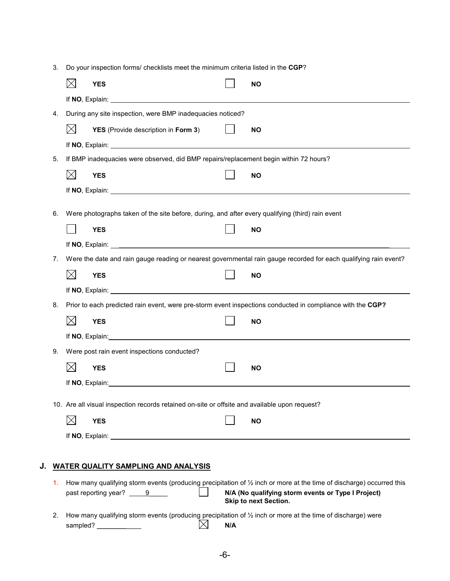3. Do your inspection forms/ checklists meet the minimum criteria listed in the **CGP**?

|    |    |                                                                                       | <b>YES</b>                                                                                                                                                                                                                    |  | ΝO                                                                                                                              |  |  |  |  |  |  |
|----|----|---------------------------------------------------------------------------------------|-------------------------------------------------------------------------------------------------------------------------------------------------------------------------------------------------------------------------------|--|---------------------------------------------------------------------------------------------------------------------------------|--|--|--|--|--|--|
|    |    |                                                                                       |                                                                                                                                                                                                                               |  |                                                                                                                                 |  |  |  |  |  |  |
|    | 4. |                                                                                       | During any site inspection, were BMP inadequacies noticed?                                                                                                                                                                    |  |                                                                                                                                 |  |  |  |  |  |  |
|    |    | $\boxtimes$                                                                           | YES (Provide description in Form 3)                                                                                                                                                                                           |  | <b>NO</b>                                                                                                                       |  |  |  |  |  |  |
|    |    |                                                                                       |                                                                                                                                                                                                                               |  |                                                                                                                                 |  |  |  |  |  |  |
|    | 5. | If BMP inadequacies were observed, did BMP repairs/replacement begin within 72 hours? |                                                                                                                                                                                                                               |  |                                                                                                                                 |  |  |  |  |  |  |
|    |    | $\boxtimes$                                                                           | <b>YES</b>                                                                                                                                                                                                                    |  | <b>NO</b>                                                                                                                       |  |  |  |  |  |  |
|    |    |                                                                                       |                                                                                                                                                                                                                               |  |                                                                                                                                 |  |  |  |  |  |  |
|    | 6. |                                                                                       | Were photographs taken of the site before, during, and after every qualifying (third) rain event                                                                                                                              |  |                                                                                                                                 |  |  |  |  |  |  |
|    |    |                                                                                       | <b>YES</b>                                                                                                                                                                                                                    |  | <b>NO</b>                                                                                                                       |  |  |  |  |  |  |
|    |    |                                                                                       |                                                                                                                                                                                                                               |  |                                                                                                                                 |  |  |  |  |  |  |
|    | 7. |                                                                                       |                                                                                                                                                                                                                               |  | Were the date and rain gauge reading or nearest governmental rain gauge recorded for each qualifying rain event?                |  |  |  |  |  |  |
|    |    | $\boxtimes$                                                                           | <b>YES</b>                                                                                                                                                                                                                    |  | <b>NO</b>                                                                                                                       |  |  |  |  |  |  |
|    |    |                                                                                       |                                                                                                                                                                                                                               |  |                                                                                                                                 |  |  |  |  |  |  |
|    | 8. |                                                                                       |                                                                                                                                                                                                                               |  | Prior to each predicted rain event, were pre-storm event inspections conducted in compliance with the CGP?                      |  |  |  |  |  |  |
|    |    | $\boxtimes$                                                                           | <b>YES</b>                                                                                                                                                                                                                    |  | <b>NO</b>                                                                                                                       |  |  |  |  |  |  |
|    |    |                                                                                       | If NO, Explain: example of the state of the state of the state of the state of the state of the state of the state of the state of the state of the state of the state of the state of the state of the state of the state of |  |                                                                                                                                 |  |  |  |  |  |  |
|    | 9. |                                                                                       | Were post rain event inspections conducted?                                                                                                                                                                                   |  |                                                                                                                                 |  |  |  |  |  |  |
|    |    |                                                                                       |                                                                                                                                                                                                                               |  |                                                                                                                                 |  |  |  |  |  |  |
|    |    | $\boxtimes$                                                                           | <b>YES</b>                                                                                                                                                                                                                    |  | <b>NO</b>                                                                                                                       |  |  |  |  |  |  |
|    |    |                                                                                       |                                                                                                                                                                                                                               |  |                                                                                                                                 |  |  |  |  |  |  |
|    |    |                                                                                       | 10. Are all visual inspection records retained on-site or offsite and available upon request?                                                                                                                                 |  |                                                                                                                                 |  |  |  |  |  |  |
|    |    | $\boxtimes$                                                                           | <b>YES</b>                                                                                                                                                                                                                    |  | <b>NO</b>                                                                                                                       |  |  |  |  |  |  |
|    |    |                                                                                       |                                                                                                                                                                                                                               |  |                                                                                                                                 |  |  |  |  |  |  |
|    |    |                                                                                       |                                                                                                                                                                                                                               |  |                                                                                                                                 |  |  |  |  |  |  |
| J. |    |                                                                                       | <b>WATER QUALITY SAMPLING AND ANALYSIS</b>                                                                                                                                                                                    |  |                                                                                                                                 |  |  |  |  |  |  |
|    | 1. |                                                                                       |                                                                                                                                                                                                                               |  | How many qualifying storm events (producing precipitation of $\frac{1}{2}$ inch or more at the time of discharge) occurred this |  |  |  |  |  |  |

2. How many qualifying storm events (producing precipitation of ½ inch or more at the time of discharge) were sampled? \_\_\_\_\_\_\_\_\_\_\_\_ **N/A**

past reporting year? 9\_\_\_\_\_ **N/A (No qualifying storm events or Type I Project)**

**Skip to next Section.**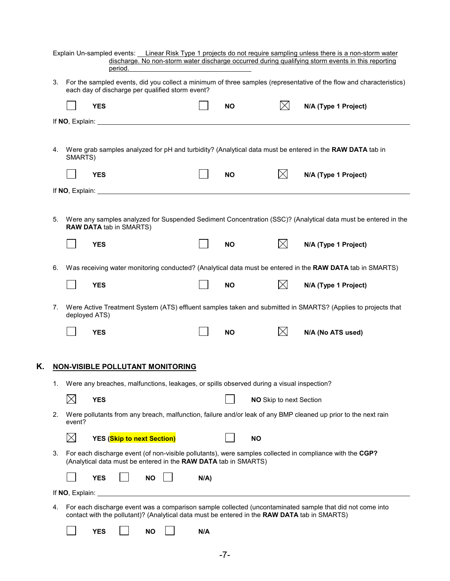| For the sampled events, did you collect a minimum of three samples (representative of the flow and characteristics)<br>3.<br>each day of discharge per qualified storm event?<br>$\boxtimes$<br><b>YES</b><br><b>NO</b><br>N/A (Type 1 Project)<br>Were grab samples analyzed for pH and turbidity? (Analytical data must be entered in the RAW DATA tab in<br>4.<br>SMARTS)<br>$\boxtimes$<br><b>YES</b><br><b>NO</b><br>N/A (Type 1 Project)<br>If NO, Explain: <u>the contract of the contract of the contract of the contract of the contract of the contract of the contract of the contract of the contract of the contract of the contract of the contract of the contract </u><br>Were any samples analyzed for Suspended Sediment Concentration (SSC)? (Analytical data must be entered in the<br>5.<br><b>RAW DATA tab in SMARTS)</b><br>$\bowtie$<br><b>YES</b><br><b>NO</b><br>N/A (Type 1 Project)<br>Was receiving water monitoring conducted? (Analytical data must be entered in the RAW DATA tab in SMARTS)<br>6.<br>$\times$<br><b>YES</b><br><b>NO</b><br>N/A (Type 1 Project)<br>Were Active Treatment System (ATS) effluent samples taken and submitted in SMARTS? (Applies to projects that<br>7.<br>deployed ATS)<br>IХI<br><b>YES</b><br><b>NO</b><br>N/A (No ATS used)<br>Κ.<br><b>NON-VISIBLE POLLUTANT MONITORING</b><br>Were any breaches, malfunctions, leakages, or spills observed during a visual inspection?<br>1.<br>$\times$<br><b>YES</b><br>NO Skip to next Section<br>Were pollutants from any breach, malfunction, failure and/or leak of any BMP cleaned up prior to the next rain<br>2.<br>event?<br>$\boxtimes$<br><b>YES</b> (Skip to next Section)<br><b>NO</b><br>For each discharge event (of non-visible pollutants), were samples collected in compliance with the CGP?<br>3.<br>(Analytical data must be entered in the RAW DATA tab in SMARTS)<br><b>YES</b><br><b>NO</b><br>$N/A$ )<br>For each discharge event was a comparison sample collected (uncontaminated sample that did not come into<br>4.<br>contact with the pollutant)? (Analytical data must be entered in the RAW DATA tab in SMARTS)<br><b>YES</b><br>N/A<br><b>NO</b> | Explain Un-sampled events: Linear Risk Type 1 projects do not require sampling unless there is a non-storm water<br>period. |  |  |  | discharge. No non-storm water discharge occurred during qualifying storm events in this reporting |  |  |  |  |
|--------------------------------------------------------------------------------------------------------------------------------------------------------------------------------------------------------------------------------------------------------------------------------------------------------------------------------------------------------------------------------------------------------------------------------------------------------------------------------------------------------------------------------------------------------------------------------------------------------------------------------------------------------------------------------------------------------------------------------------------------------------------------------------------------------------------------------------------------------------------------------------------------------------------------------------------------------------------------------------------------------------------------------------------------------------------------------------------------------------------------------------------------------------------------------------------------------------------------------------------------------------------------------------------------------------------------------------------------------------------------------------------------------------------------------------------------------------------------------------------------------------------------------------------------------------------------------------------------------------------------------------------------------------------------------------------------------------------------------------------------------------------------------------------------------------------------------------------------------------------------------------------------------------------------------------------------------------------------------------------------------------------------------------------------------------------------------------------------------------------------------------------------------------------------------------------|-----------------------------------------------------------------------------------------------------------------------------|--|--|--|---------------------------------------------------------------------------------------------------|--|--|--|--|
|                                                                                                                                                                                                                                                                                                                                                                                                                                                                                                                                                                                                                                                                                                                                                                                                                                                                                                                                                                                                                                                                                                                                                                                                                                                                                                                                                                                                                                                                                                                                                                                                                                                                                                                                                                                                                                                                                                                                                                                                                                                                                                                                                                                            |                                                                                                                             |  |  |  |                                                                                                   |  |  |  |  |
|                                                                                                                                                                                                                                                                                                                                                                                                                                                                                                                                                                                                                                                                                                                                                                                                                                                                                                                                                                                                                                                                                                                                                                                                                                                                                                                                                                                                                                                                                                                                                                                                                                                                                                                                                                                                                                                                                                                                                                                                                                                                                                                                                                                            |                                                                                                                             |  |  |  |                                                                                                   |  |  |  |  |
|                                                                                                                                                                                                                                                                                                                                                                                                                                                                                                                                                                                                                                                                                                                                                                                                                                                                                                                                                                                                                                                                                                                                                                                                                                                                                                                                                                                                                                                                                                                                                                                                                                                                                                                                                                                                                                                                                                                                                                                                                                                                                                                                                                                            |                                                                                                                             |  |  |  |                                                                                                   |  |  |  |  |
|                                                                                                                                                                                                                                                                                                                                                                                                                                                                                                                                                                                                                                                                                                                                                                                                                                                                                                                                                                                                                                                                                                                                                                                                                                                                                                                                                                                                                                                                                                                                                                                                                                                                                                                                                                                                                                                                                                                                                                                                                                                                                                                                                                                            |                                                                                                                             |  |  |  |                                                                                                   |  |  |  |  |
|                                                                                                                                                                                                                                                                                                                                                                                                                                                                                                                                                                                                                                                                                                                                                                                                                                                                                                                                                                                                                                                                                                                                                                                                                                                                                                                                                                                                                                                                                                                                                                                                                                                                                                                                                                                                                                                                                                                                                                                                                                                                                                                                                                                            |                                                                                                                             |  |  |  |                                                                                                   |  |  |  |  |
|                                                                                                                                                                                                                                                                                                                                                                                                                                                                                                                                                                                                                                                                                                                                                                                                                                                                                                                                                                                                                                                                                                                                                                                                                                                                                                                                                                                                                                                                                                                                                                                                                                                                                                                                                                                                                                                                                                                                                                                                                                                                                                                                                                                            |                                                                                                                             |  |  |  |                                                                                                   |  |  |  |  |
|                                                                                                                                                                                                                                                                                                                                                                                                                                                                                                                                                                                                                                                                                                                                                                                                                                                                                                                                                                                                                                                                                                                                                                                                                                                                                                                                                                                                                                                                                                                                                                                                                                                                                                                                                                                                                                                                                                                                                                                                                                                                                                                                                                                            |                                                                                                                             |  |  |  |                                                                                                   |  |  |  |  |
|                                                                                                                                                                                                                                                                                                                                                                                                                                                                                                                                                                                                                                                                                                                                                                                                                                                                                                                                                                                                                                                                                                                                                                                                                                                                                                                                                                                                                                                                                                                                                                                                                                                                                                                                                                                                                                                                                                                                                                                                                                                                                                                                                                                            |                                                                                                                             |  |  |  |                                                                                                   |  |  |  |  |
|                                                                                                                                                                                                                                                                                                                                                                                                                                                                                                                                                                                                                                                                                                                                                                                                                                                                                                                                                                                                                                                                                                                                                                                                                                                                                                                                                                                                                                                                                                                                                                                                                                                                                                                                                                                                                                                                                                                                                                                                                                                                                                                                                                                            |                                                                                                                             |  |  |  |                                                                                                   |  |  |  |  |
|                                                                                                                                                                                                                                                                                                                                                                                                                                                                                                                                                                                                                                                                                                                                                                                                                                                                                                                                                                                                                                                                                                                                                                                                                                                                                                                                                                                                                                                                                                                                                                                                                                                                                                                                                                                                                                                                                                                                                                                                                                                                                                                                                                                            |                                                                                                                             |  |  |  |                                                                                                   |  |  |  |  |
|                                                                                                                                                                                                                                                                                                                                                                                                                                                                                                                                                                                                                                                                                                                                                                                                                                                                                                                                                                                                                                                                                                                                                                                                                                                                                                                                                                                                                                                                                                                                                                                                                                                                                                                                                                                                                                                                                                                                                                                                                                                                                                                                                                                            |                                                                                                                             |  |  |  |                                                                                                   |  |  |  |  |
|                                                                                                                                                                                                                                                                                                                                                                                                                                                                                                                                                                                                                                                                                                                                                                                                                                                                                                                                                                                                                                                                                                                                                                                                                                                                                                                                                                                                                                                                                                                                                                                                                                                                                                                                                                                                                                                                                                                                                                                                                                                                                                                                                                                            |                                                                                                                             |  |  |  |                                                                                                   |  |  |  |  |
|                                                                                                                                                                                                                                                                                                                                                                                                                                                                                                                                                                                                                                                                                                                                                                                                                                                                                                                                                                                                                                                                                                                                                                                                                                                                                                                                                                                                                                                                                                                                                                                                                                                                                                                                                                                                                                                                                                                                                                                                                                                                                                                                                                                            |                                                                                                                             |  |  |  |                                                                                                   |  |  |  |  |
|                                                                                                                                                                                                                                                                                                                                                                                                                                                                                                                                                                                                                                                                                                                                                                                                                                                                                                                                                                                                                                                                                                                                                                                                                                                                                                                                                                                                                                                                                                                                                                                                                                                                                                                                                                                                                                                                                                                                                                                                                                                                                                                                                                                            |                                                                                                                             |  |  |  |                                                                                                   |  |  |  |  |
|                                                                                                                                                                                                                                                                                                                                                                                                                                                                                                                                                                                                                                                                                                                                                                                                                                                                                                                                                                                                                                                                                                                                                                                                                                                                                                                                                                                                                                                                                                                                                                                                                                                                                                                                                                                                                                                                                                                                                                                                                                                                                                                                                                                            |                                                                                                                             |  |  |  |                                                                                                   |  |  |  |  |
|                                                                                                                                                                                                                                                                                                                                                                                                                                                                                                                                                                                                                                                                                                                                                                                                                                                                                                                                                                                                                                                                                                                                                                                                                                                                                                                                                                                                                                                                                                                                                                                                                                                                                                                                                                                                                                                                                                                                                                                                                                                                                                                                                                                            |                                                                                                                             |  |  |  |                                                                                                   |  |  |  |  |
|                                                                                                                                                                                                                                                                                                                                                                                                                                                                                                                                                                                                                                                                                                                                                                                                                                                                                                                                                                                                                                                                                                                                                                                                                                                                                                                                                                                                                                                                                                                                                                                                                                                                                                                                                                                                                                                                                                                                                                                                                                                                                                                                                                                            |                                                                                                                             |  |  |  |                                                                                                   |  |  |  |  |
|                                                                                                                                                                                                                                                                                                                                                                                                                                                                                                                                                                                                                                                                                                                                                                                                                                                                                                                                                                                                                                                                                                                                                                                                                                                                                                                                                                                                                                                                                                                                                                                                                                                                                                                                                                                                                                                                                                                                                                                                                                                                                                                                                                                            |                                                                                                                             |  |  |  |                                                                                                   |  |  |  |  |
|                                                                                                                                                                                                                                                                                                                                                                                                                                                                                                                                                                                                                                                                                                                                                                                                                                                                                                                                                                                                                                                                                                                                                                                                                                                                                                                                                                                                                                                                                                                                                                                                                                                                                                                                                                                                                                                                                                                                                                                                                                                                                                                                                                                            |                                                                                                                             |  |  |  |                                                                                                   |  |  |  |  |
|                                                                                                                                                                                                                                                                                                                                                                                                                                                                                                                                                                                                                                                                                                                                                                                                                                                                                                                                                                                                                                                                                                                                                                                                                                                                                                                                                                                                                                                                                                                                                                                                                                                                                                                                                                                                                                                                                                                                                                                                                                                                                                                                                                                            |                                                                                                                             |  |  |  |                                                                                                   |  |  |  |  |
|                                                                                                                                                                                                                                                                                                                                                                                                                                                                                                                                                                                                                                                                                                                                                                                                                                                                                                                                                                                                                                                                                                                                                                                                                                                                                                                                                                                                                                                                                                                                                                                                                                                                                                                                                                                                                                                                                                                                                                                                                                                                                                                                                                                            |                                                                                                                             |  |  |  |                                                                                                   |  |  |  |  |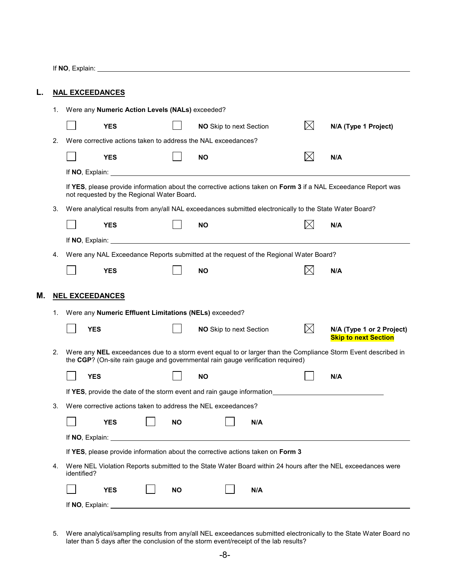If **NO**, Explain:

| L. |    | <b>NAL EXCEEDANCES</b>                                                                                                                                       |                                                                                                                                                                                                                                      |  |           |           |  |                         |                                                                                                         |     |                                                                                                               |
|----|----|--------------------------------------------------------------------------------------------------------------------------------------------------------------|--------------------------------------------------------------------------------------------------------------------------------------------------------------------------------------------------------------------------------------|--|-----------|-----------|--|-------------------------|---------------------------------------------------------------------------------------------------------|-----|---------------------------------------------------------------------------------------------------------------|
|    | 1. | Were any Numeric Action Levels (NALs) exceeded?                                                                                                              |                                                                                                                                                                                                                                      |  |           |           |  |                         |                                                                                                         |     |                                                                                                               |
|    |    |                                                                                                                                                              | <b>YES</b>                                                                                                                                                                                                                           |  |           |           |  | NO Skip to next Section | $\bowtie$                                                                                               |     | N/A (Type 1 Project)                                                                                          |
|    | 2. | Were corrective actions taken to address the NAL exceedances?                                                                                                |                                                                                                                                                                                                                                      |  |           |           |  |                         |                                                                                                         |     |                                                                                                               |
|    |    |                                                                                                                                                              | <b>YES</b>                                                                                                                                                                                                                           |  |           | <b>NO</b> |  |                         |                                                                                                         | N/A |                                                                                                               |
|    |    |                                                                                                                                                              |                                                                                                                                                                                                                                      |  |           |           |  |                         |                                                                                                         |     |                                                                                                               |
|    |    | If YES, please provide information about the corrective actions taken on Form 3 if a NAL Exceedance Report was<br>not requested by the Regional Water Board. |                                                                                                                                                                                                                                      |  |           |           |  |                         |                                                                                                         |     |                                                                                                               |
|    | З. |                                                                                                                                                              |                                                                                                                                                                                                                                      |  |           |           |  |                         | Were analytical results from any/all NAL exceedances submitted electronically to the State Water Board? |     |                                                                                                               |
|    |    |                                                                                                                                                              | <b>YES</b>                                                                                                                                                                                                                           |  |           | <b>NO</b> |  |                         |                                                                                                         | N/A |                                                                                                               |
|    |    |                                                                                                                                                              |                                                                                                                                                                                                                                      |  |           |           |  |                         |                                                                                                         |     |                                                                                                               |
|    | 4. | Were any NAL Exceedance Reports submitted at the request of the Regional Water Board?                                                                        |                                                                                                                                                                                                                                      |  |           |           |  |                         |                                                                                                         |     |                                                                                                               |
|    |    |                                                                                                                                                              | <b>YES</b>                                                                                                                                                                                                                           |  |           | <b>NO</b> |  |                         |                                                                                                         | N/A |                                                                                                               |
| Μ. | 1. | <b>NEL EXCEEDANCES</b><br>Were any Numeric Effluent Limitations (NELs) exceeded?                                                                             |                                                                                                                                                                                                                                      |  |           |           |  |                         |                                                                                                         |     |                                                                                                               |
|    |    | <b>YES</b>                                                                                                                                                   |                                                                                                                                                                                                                                      |  |           |           |  | NO Skip to next Section | $\times$                                                                                                |     | N/A (Type 1 or 2 Project)<br><b>Skip to next Section</b>                                                      |
|    | 2. | the CGP? (On-site rain gauge and governmental rain gauge verification required)                                                                              |                                                                                                                                                                                                                                      |  |           |           |  |                         |                                                                                                         |     | Were any NEL exceedances due to a storm event equal to or larger than the Compliance Storm Event described in |
|    |    | <b>YES</b>                                                                                                                                                   |                                                                                                                                                                                                                                      |  |           | ΝO        |  |                         |                                                                                                         | N/A |                                                                                                               |
|    |    |                                                                                                                                                              |                                                                                                                                                                                                                                      |  |           |           |  |                         | If YES, provide the date of the storm event and rain gauge information                                  |     |                                                                                                               |
|    | 3. | Were corrective actions taken to address the NEL exceedances?                                                                                                |                                                                                                                                                                                                                                      |  |           |           |  |                         |                                                                                                         |     |                                                                                                               |
|    |    |                                                                                                                                                              | <b>YES</b>                                                                                                                                                                                                                           |  | <b>NO</b> |           |  | N/A                     |                                                                                                         |     |                                                                                                               |
|    |    |                                                                                                                                                              | If NO, Explain: <u>Andrea Barbara and American and American and American and American and American and American and American and American and American and American and American and American and American and American and Amer</u> |  |           |           |  |                         |                                                                                                         |     |                                                                                                               |
|    |    |                                                                                                                                                              | If YES, please provide information about the corrective actions taken on Form 3                                                                                                                                                      |  |           |           |  |                         |                                                                                                         |     |                                                                                                               |
|    | 4. | identified?                                                                                                                                                  |                                                                                                                                                                                                                                      |  |           |           |  |                         |                                                                                                         |     | Were NEL Violation Reports submitted to the State Water Board within 24 hours after the NEL exceedances were  |
|    |    |                                                                                                                                                              | <b>YES</b>                                                                                                                                                                                                                           |  | NO.       |           |  | N/A                     |                                                                                                         |     |                                                                                                               |
|    |    | If NO, Explain:                                                                                                                                              |                                                                                                                                                                                                                                      |  |           |           |  |                         |                                                                                                         |     |                                                                                                               |

5. Were analytical/sampling results from any/all NEL exceedances submitted electronically to the State Water Board no later than 5 days after the conclusion of the storm event/receipt of the lab results?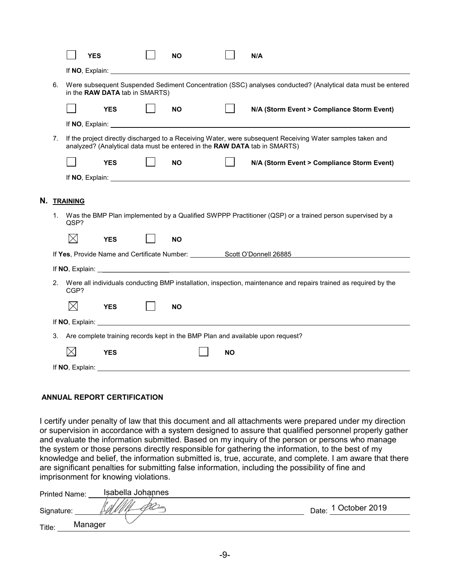|    |    | <b>YES</b>      |                                | <b>NO</b>                                                                                                                                                                                                                            |           | N/A                                                                                                                                                                                                                            |
|----|----|-----------------|--------------------------------|--------------------------------------------------------------------------------------------------------------------------------------------------------------------------------------------------------------------------------------|-----------|--------------------------------------------------------------------------------------------------------------------------------------------------------------------------------------------------------------------------------|
|    |    |                 |                                |                                                                                                                                                                                                                                      |           |                                                                                                                                                                                                                                |
|    | 6. |                 | in the RAW DATA tab in SMARTS) |                                                                                                                                                                                                                                      |           | Were subsequent Suspended Sediment Concentration (SSC) analyses conducted? (Analytical data must be entered                                                                                                                    |
|    |    |                 | <b>YES</b>                     | <b>NO</b>                                                                                                                                                                                                                            |           | N/A (Storm Event > Compliance Storm Event)                                                                                                                                                                                     |
|    |    |                 |                                |                                                                                                                                                                                                                                      |           |                                                                                                                                                                                                                                |
|    | 7. |                 |                                | analyzed? (Analytical data must be entered in the RAW DATA tab in SMARTS)                                                                                                                                                            |           | If the project directly discharged to a Receiving Water, were subsequent Receiving Water samples taken and                                                                                                                     |
|    |    |                 | <b>YES</b>                     | <b>NO</b>                                                                                                                                                                                                                            |           | N/A (Storm Event > Compliance Storm Event)                                                                                                                                                                                     |
|    |    |                 |                                |                                                                                                                                                                                                                                      |           | If NO, Explain: the contract of the contract of the contract of the contract of the contract of the contract of the contract of the contract of the contract of the contract of the contract of the contract of the contract o |
|    |    |                 |                                |                                                                                                                                                                                                                                      |           |                                                                                                                                                                                                                                |
| Ν. |    | <b>TRAINING</b> |                                |                                                                                                                                                                                                                                      |           |                                                                                                                                                                                                                                |
|    | 1. | QSP?            |                                |                                                                                                                                                                                                                                      |           | Was the BMP Plan implemented by a Qualified SWPPP Practitioner (QSP) or a trained person supervised by a                                                                                                                       |
|    |    | $\boxtimes$     | <b>YES</b>                     | <b>NO</b>                                                                                                                                                                                                                            |           |                                                                                                                                                                                                                                |
|    |    |                 |                                |                                                                                                                                                                                                                                      |           | If Yes, Provide Name and Certificate Number: Scott O'Donnell 26885                                                                                                                                                             |
|    |    |                 |                                | If NO, Explain: <u>example and the set of the set of the set of the set of the set of the set of the set of the set of the set of the set of the set of the set of the set of the set of the set of the set of the set of the se</u> |           |                                                                                                                                                                                                                                |
|    | 2. | CGP?            |                                |                                                                                                                                                                                                                                      |           | Were all individuals conducting BMP installation, inspection, maintenance and repairs trained as required by the                                                                                                               |
|    |    | $\bowtie$       | <b>YES</b>                     | <b>NO</b>                                                                                                                                                                                                                            |           |                                                                                                                                                                                                                                |
|    |    |                 |                                | If NO, Explain: <u>the contract of the contract of the contract of the contract of the contract of the contract of the contract of the contract of the contract of the contract of the contract of the contract of the contract </u> |           |                                                                                                                                                                                                                                |
|    | 3. |                 |                                |                                                                                                                                                                                                                                      |           |                                                                                                                                                                                                                                |
|    |    |                 |                                |                                                                                                                                                                                                                                      |           | Are complete training records kept in the BMP Plan and available upon request?                                                                                                                                                 |
|    |    | IX              | <b>YES</b>                     |                                                                                                                                                                                                                                      | <b>NO</b> |                                                                                                                                                                                                                                |

#### **ANNUAL REPORT CERTIFICATION**

I certify under penalty of law that this document and all attachments were prepared under my direction or supervision in accordance with a system designed to assure that qualified personnel properly gather and evaluate the information submitted. Based on my inquiry of the person or persons who manage the system or those persons directly responsible for gathering the information, to the best of my knowledge and belief, the information submitted is, true, accurate, and complete. I am aware that there are significant penalties for submitting false information, including the possibility of fine and imprisonment for knowing violations.

| <b>Printed Name:</b> | Isabella Johannes |                         |
|----------------------|-------------------|-------------------------|
| Signature:           |                   | 1 October 2019<br>Date: |
| Title:               | Manager           |                         |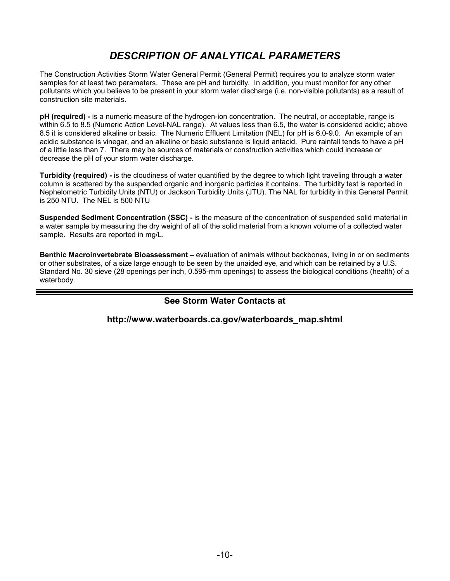# *DESCRIPTION OF ANALYTICAL PARAMETERS*

The Construction Activities Storm Water General Permit (General Permit) requires you to analyze storm water samples for at least two parameters. These are pH and turbidity. In addition, you must monitor for any other pollutants which you believe to be present in your storm water discharge (i.e. non-visible pollutants) as a result of construction site materials.

**pH (required) -** is a numeric measure of the hydrogen-ion concentration. The neutral, or acceptable, range is within 6.5 to 8.5 (Numeric Action Level-NAL range). At values less than 6.5, the water is considered acidic; above 8.5 it is considered alkaline or basic. The Numeric Effluent Limitation (NEL) for pH is 6.0-9.0. An example of an acidic substance is vinegar, and an alkaline or basic substance is liquid antacid. Pure rainfall tends to have a pH of a little less than 7. There may be sources of materials or construction activities which could increase or decrease the pH of your storm water discharge.

**Turbidity (required) -** is the cloudiness of water quantified by the degree to which light traveling through a water column is scattered by the suspended organic and inorganic particles it contains. The turbidity test is reported in Nephelometric Turbidity Units (NTU) or Jackson Turbidity Units (JTU). The NAL for turbidity in this General Permit is 250 NTU. The NEL is 500 NTU

**Suspended Sediment Concentration (SSC) -** is the measure of the concentration of suspended solid material in a water sample by measuring the dry weight of all of the solid material from a known volume of a collected water sample. Results are reported in mg/L.

**Benthic Macroinvertebrate Bioassessment –** evaluation of animals without backbones, living in or on sediments or other substrates, of a size large enough to be seen by the unaided eye, and which can be retained by a U.S. Standard No. 30 sieve (28 openings per inch, 0.595-mm openings) to assess the biological conditions (health) of a waterbody.

### **See Storm Water Contacts at**

**http://www.waterboards.ca.gov/waterboards\_map.shtml**